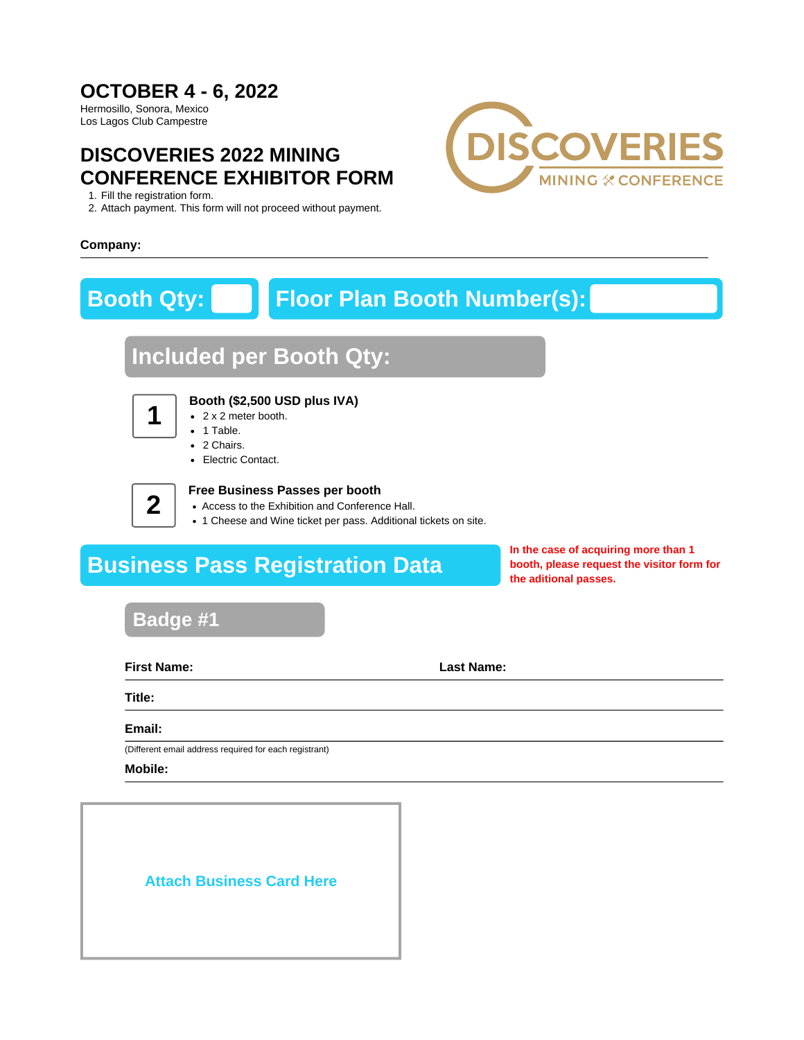## **OCTOBER 4 - 6, 2022**

Hermosillo, Sonora, Mexico Los Lagos Club Campestre

## **DISCOVERIES 2022 MINING CONFERENCE EXHIBITOR FORM**

1. Fill the registration form.

2. Attach payment. This form will not proceed without payment.



### **Company:**

# **Booth Qty: Floor Plan Booth Number(s):**

# **Included per Booth Qty:**



## **Booth (\$2,500 USD plus IVA)**

- 2 x 2 meter booth.
- 1 Table.
- 2 Chairs.
- Electric Contact.

**2**

### **Free Business Passes per booth**

- Access to the Exhibition and Conference Hall.
- 1 Cheese and Wine ticket per pass. Additional tickets on site.

# **Business Pass Registration Data**

**In the case of acquiring more than 1 booth, please request the visitor form for the aditional passes.**

## **Badge #1**

**First Name: Last Name:**

**Title:**

**Email:**

(Different email address required for each registrant)

**Mobile:**

## **Attach Business Card Here**